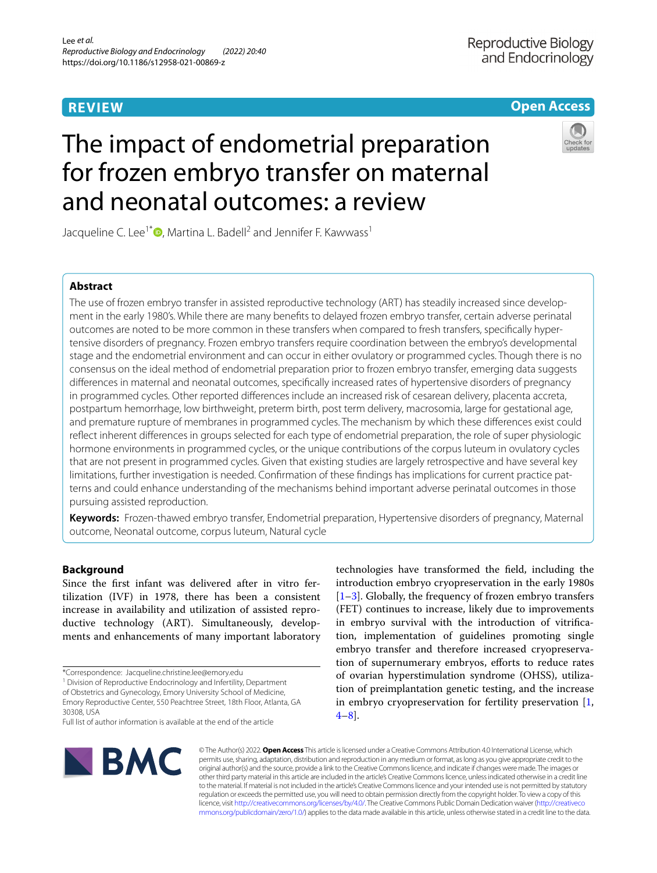# **REVIEW**

# **Open Access**

# The impact of endometrial preparation for frozen embryo transfer on maternal and neonatal outcomes: a review

Jacqueline C. Lee<sup>1[\\*](http://orcid.org/0000-0002-2493-142X)</sup>  $\bullet$ , Martina L. Badell<sup>2</sup> and Jennifer F. Kawwass<sup>1</sup>

# **Abstract**

The use of frozen embryo transfer in assisted reproductive technology (ART) has steadily increased since development in the early 1980's. While there are many benefts to delayed frozen embryo transfer, certain adverse perinatal outcomes are noted to be more common in these transfers when compared to fresh transfers, specifcally hypertensive disorders of pregnancy. Frozen embryo transfers require coordination between the embryo's developmental stage and the endometrial environment and can occur in either ovulatory or programmed cycles. Though there is no consensus on the ideal method of endometrial preparation prior to frozen embryo transfer, emerging data suggests diferences in maternal and neonatal outcomes, specifcally increased rates of hypertensive disorders of pregnancy in programmed cycles. Other reported diferences include an increased risk of cesarean delivery, placenta accreta, postpartum hemorrhage, low birthweight, preterm birth, post term delivery, macrosomia, large for gestational age, and premature rupture of membranes in programmed cycles. The mechanism by which these diferences exist could refect inherent diferences in groups selected for each type of endometrial preparation, the role of super physiologic hormone environments in programmed cycles, or the unique contributions of the corpus luteum in ovulatory cycles that are not present in programmed cycles. Given that existing studies are largely retrospective and have several key limitations, further investigation is needed. Confrmation of these fndings has implications for current practice patterns and could enhance understanding of the mechanisms behind important adverse perinatal outcomes in those pursuing assisted reproduction.

**Keywords:** Frozen-thawed embryo transfer, Endometrial preparation, Hypertensive disorders of pregnancy, Maternal outcome, Neonatal outcome, corpus luteum, Natural cycle

# **Background**

Since the frst infant was delivered after in vitro fertilization (IVF) in 1978, there has been a consistent increase in availability and utilization of assisted reproductive technology (ART). Simultaneously, developments and enhancements of many important laboratory

<sup>1</sup> Division of Reproductive Endocrinology and Infertility, Department of Obstetrics and Gynecology, Emory University School of Medicine, Emory Reproductive Center, 550 Peachtree Street, 18th Floor, Atlanta, GA 30308, USA

technologies have transformed the feld, including the introduction embryo cryopreservation in the early 1980s [[1–](#page-10-0)[3\]](#page-10-1). Globally, the frequency of frozen embryo transfers (FET) continues to increase, likely due to improvements in embryo survival with the introduction of vitrifcation, implementation of guidelines promoting single embryo transfer and therefore increased cryopreservation of supernumerary embryos, efforts to reduce rates of ovarian hyperstimulation syndrome (OHSS), utilization of preimplantation genetic testing, and the increase in embryo cryopreservation for fertility preservation [\[1](#page-10-0), [4–](#page-10-2)[8](#page-10-3)].



© The Author(s) 2022. **Open Access** This article is licensed under a Creative Commons Attribution 4.0 International License, which permits use, sharing, adaptation, distribution and reproduction in any medium or format, as long as you give appropriate credit to the original author(s) and the source, provide a link to the Creative Commons licence, and indicate if changes were made. The images or other third party material in this article are included in the article's Creative Commons licence, unless indicated otherwise in a credit line to the material. If material is not included in the article's Creative Commons licence and your intended use is not permitted by statutory regulation or exceeds the permitted use, you will need to obtain permission directly from the copyright holder. To view a copy of this licence, visit [http://creativecommons.org/licenses/by/4.0/.](http://creativecommons.org/licenses/by/4.0/) The Creative Commons Public Domain Dedication waiver ([http://creativeco](http://creativecommons.org/publicdomain/zero/1.0/) [mmons.org/publicdomain/zero/1.0/](http://creativecommons.org/publicdomain/zero/1.0/)) applies to the data made available in this article, unless otherwise stated in a credit line to the data.

<sup>\*</sup>Correspondence: Jacqueline.christine.lee@emory.edu

Full list of author information is available at the end of the article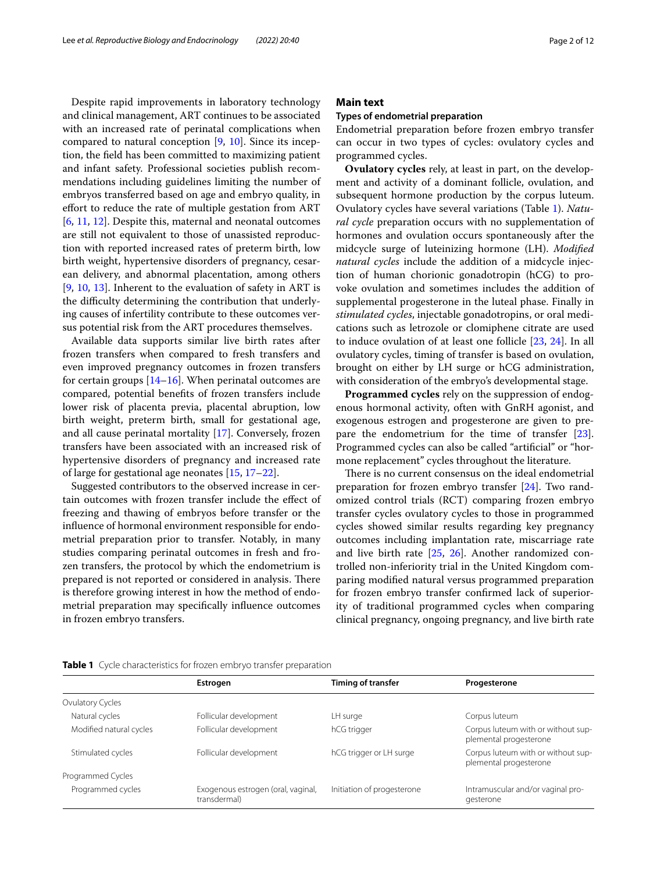Despite rapid improvements in laboratory technology and clinical management, ART continues to be associated with an increased rate of perinatal complications when compared to natural conception  $[9, 10]$  $[9, 10]$  $[9, 10]$ . Since its inception, the feld has been committed to maximizing patient and infant safety. Professional societies publish recommendations including guidelines limiting the number of embryos transferred based on age and embryo quality, in efort to reduce the rate of multiple gestation from ART [[6,](#page-10-6) [11](#page-10-7), [12](#page-10-8)]. Despite this, maternal and neonatal outcomes are still not equivalent to those of unassisted reproduction with reported increased rates of preterm birth, low birth weight, hypertensive disorders of pregnancy, cesarean delivery, and abnormal placentation, among others [[9,](#page-10-4) [10,](#page-10-5) [13\]](#page-10-9). Inherent to the evaluation of safety in ART is the difficulty determining the contribution that underlying causes of infertility contribute to these outcomes versus potential risk from the ART procedures themselves.

Available data supports similar live birth rates after frozen transfers when compared to fresh transfers and even improved pregnancy outcomes in frozen transfers for certain groups  $[14–16]$  $[14–16]$  $[14–16]$  $[14–16]$ . When perinatal outcomes are compared, potential benefts of frozen transfers include lower risk of placenta previa, placental abruption, low birth weight, preterm birth, small for gestational age, and all cause perinatal mortality [\[17](#page-10-12)]. Conversely, frozen transfers have been associated with an increased risk of hypertensive disorders of pregnancy and increased rate of large for gestational age neonates [[15,](#page-10-13) [17](#page-10-12)–[22\]](#page-10-14).

Suggested contributors to the observed increase in certain outcomes with frozen transfer include the efect of freezing and thawing of embryos before transfer or the infuence of hormonal environment responsible for endometrial preparation prior to transfer. Notably, in many studies comparing perinatal outcomes in fresh and frozen transfers, the protocol by which the endometrium is prepared is not reported or considered in analysis. There is therefore growing interest in how the method of endometrial preparation may specifcally infuence outcomes in frozen embryo transfers.

# **Main text**

### **Types of endometrial preparation**

Endometrial preparation before frozen embryo transfer can occur in two types of cycles: ovulatory cycles and programmed cycles.

**Ovulatory cycles** rely, at least in part, on the development and activity of a dominant follicle, ovulation, and subsequent hormone production by the corpus luteum. Ovulatory cycles have several variations (Table [1\)](#page-1-0). *Natural cycle* preparation occurs with no supplementation of hormones and ovulation occurs spontaneously after the midcycle surge of luteinizing hormone (LH). *Modifed natural cycles* include the addition of a midcycle injection of human chorionic gonadotropin (hCG) to provoke ovulation and sometimes includes the addition of supplemental progesterone in the luteal phase. Finally in *stimulated cycles*, injectable gonadotropins, or oral medications such as letrozole or clomiphene citrate are used to induce ovulation of at least one follicle [[23,](#page-10-15) [24\]](#page-10-16). In all ovulatory cycles, timing of transfer is based on ovulation, brought on either by LH surge or hCG administration, with consideration of the embryo's developmental stage.

**Programmed cycles** rely on the suppression of endogenous hormonal activity, often with GnRH agonist, and exogenous estrogen and progesterone are given to prepare the endometrium for the time of transfer [\[23](#page-10-15)]. Programmed cycles can also be called "artifcial" or "hormone replacement" cycles throughout the literature.

There is no current consensus on the ideal endometrial preparation for frozen embryo transfer [\[24](#page-10-16)]. Two randomized control trials (RCT) comparing frozen embryo transfer cycles ovulatory cycles to those in programmed cycles showed similar results regarding key pregnancy outcomes including implantation rate, miscarriage rate and live birth rate [\[25,](#page-10-17) [26\]](#page-10-18). Another randomized controlled non-inferiority trial in the United Kingdom comparing modifed natural versus programmed preparation for frozen embryo transfer confrmed lack of superiority of traditional programmed cycles when comparing clinical pregnancy, ongoing pregnancy, and live birth rate

|                         | Estrogen                                           | Timing of transfer         | Progesterone                                                 |
|-------------------------|----------------------------------------------------|----------------------------|--------------------------------------------------------------|
| Ovulatory Cycles        |                                                    |                            |                                                              |
| Natural cycles          | Follicular development                             | LH surge                   | Corpus luteum                                                |
| Modified natural cycles | Follicular development                             | hCG trigger                | Corpus luteum with or without sup-<br>plemental progesterone |
| Stimulated cycles       | Follicular development                             | hCG trigger or LH surge    | Corpus luteum with or without sup-<br>plemental progesterone |
| Programmed Cycles       |                                                    |                            |                                                              |
| Programmed cycles       | Exogenous estrogen (oral, vaginal,<br>transdermal) | Initiation of progesterone | Intramuscular and/or vaginal pro-<br>gesterone               |

<span id="page-1-0"></span>**Table 1** Cycle characteristics for frozen embryo transfer preparation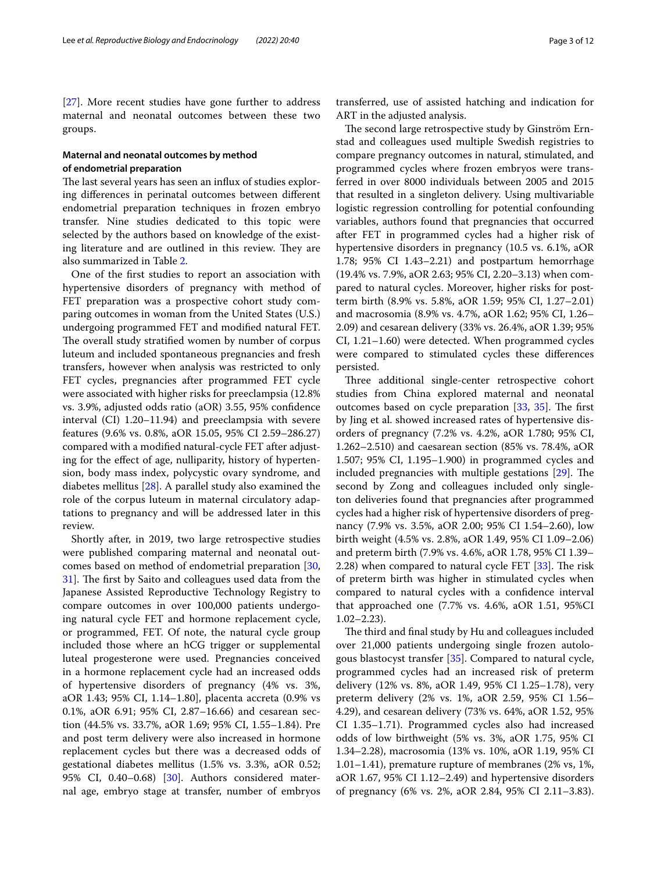[[27\]](#page-11-0). More recent studies have gone further to address maternal and neonatal outcomes between these two groups.

# **Maternal and neonatal outcomes by method of endometrial preparation**

The last several years has seen an influx of studies exploring diferences in perinatal outcomes between diferent endometrial preparation techniques in frozen embryo transfer. Nine studies dedicated to this topic were selected by the authors based on knowledge of the existing literature and are outlined in this review. They are also summarized in Table [2](#page-3-0).

One of the frst studies to report an association with hypertensive disorders of pregnancy with method of FET preparation was a prospective cohort study comparing outcomes in woman from the United States (U.S.) undergoing programmed FET and modifed natural FET. The overall study stratified women by number of corpus luteum and included spontaneous pregnancies and fresh transfers, however when analysis was restricted to only FET cycles, pregnancies after programmed FET cycle were associated with higher risks for preeclampsia (12.8% vs. 3.9%, adjusted odds ratio (aOR) 3.55, 95% confdence interval (CI) 1.20–11.94) and preeclampsia with severe features (9.6% vs. 0.8%, aOR 15.05, 95% CI 2.59–286.27) compared with a modifed natural-cycle FET after adjusting for the efect of age, nulliparity, history of hypertension, body mass index, polycystic ovary syndrome, and diabetes mellitus [[28](#page-11-1)]. A parallel study also examined the role of the corpus luteum in maternal circulatory adaptations to pregnancy and will be addressed later in this review.

Shortly after, in 2019, two large retrospective studies were published comparing maternal and neonatal outcomes based on method of endometrial preparation [\[30](#page-11-2), [31\]](#page-11-3). The first by Saito and colleagues used data from the Japanese Assisted Reproductive Technology Registry to compare outcomes in over 100,000 patients undergoing natural cycle FET and hormone replacement cycle, or programmed, FET. Of note, the natural cycle group included those where an hCG trigger or supplemental luteal progesterone were used. Pregnancies conceived in a hormone replacement cycle had an increased odds of hypertensive disorders of pregnancy (4% vs. 3%, aOR 1.43; 95% CI, 1.14–1.80], placenta accreta (0.9% vs 0.1%, aOR 6.91; 95% CI, 2.87–16.66) and cesarean section (44.5% vs. 33.7%, aOR 1.69; 95% CI, 1.55–1.84). Pre and post term delivery were also increased in hormone replacement cycles but there was a decreased odds of gestational diabetes mellitus (1.5% vs. 3.3%, aOR 0.52; 95% CI, 0.40–0.68) [\[30\]](#page-11-2). Authors considered maternal age, embryo stage at transfer, number of embryos transferred, use of assisted hatching and indication for ART in the adjusted analysis.

The second large retrospective study by Ginström Ernstad and colleagues used multiple Swedish registries to compare pregnancy outcomes in natural, stimulated, and programmed cycles where frozen embryos were transferred in over 8000 individuals between 2005 and 2015 that resulted in a singleton delivery. Using multivariable logistic regression controlling for potential confounding variables, authors found that pregnancies that occurred after FET in programmed cycles had a higher risk of hypertensive disorders in pregnancy (10.5 vs. 6.1%, aOR 1.78; 95% CI 1.43–2.21) and postpartum hemorrhage (19.4% vs. 7.9%, aOR 2.63; 95% CI, 2.20–3.13) when compared to natural cycles. Moreover, higher risks for postterm birth (8.9% vs. 5.8%, aOR 1.59; 95% CI, 1.27–2.01) and macrosomia (8.9% vs. 4.7%, aOR 1.62; 95% CI, 1.26– 2.09) and cesarean delivery (33% vs. 26.4%, aOR 1.39; 95% CI, 1.21–1.60) were detected. When programmed cycles were compared to stimulated cycles these diferences persisted.

Three additional single-center retrospective cohort studies from China explored maternal and neonatal outcomes based on cycle preparation  $[33, 35]$  $[33, 35]$  $[33, 35]$  $[33, 35]$  $[33, 35]$ . The first by Jing et al. showed increased rates of hypertensive disorders of pregnancy (7.2% vs. 4.2%, aOR 1.780; 95% CI, 1.262–2.510) and caesarean section (85% vs. 78.4%, aOR 1.507; 95% CI, 1.195–1.900) in programmed cycles and included pregnancies with multiple gestations  $[29]$  $[29]$ . The second by Zong and colleagues included only singleton deliveries found that pregnancies after programmed cycles had a higher risk of hypertensive disorders of pregnancy (7.9% vs. 3.5%, aOR 2.00; 95% CI 1.54–2.60), low birth weight (4.5% vs. 2.8%, aOR 1.49, 95% CI 1.09–2.06) and preterm birth (7.9% vs. 4.6%, aOR 1.78, 95% CI 1.39– 2.28) when compared to natural cycle FET  $[33]$  $[33]$ . The risk of preterm birth was higher in stimulated cycles when compared to natural cycles with a confdence interval that approached one (7.7% vs. 4.6%, aOR 1.51, 95%CI 1.02–2.23).

The third and final study by Hu and colleagues included over 21,000 patients undergoing single frozen autologous blastocyst transfer [\[35](#page-11-5)]. Compared to natural cycle, programmed cycles had an increased risk of preterm delivery (12% vs. 8%, aOR 1.49, 95% CI 1.25–1.78), very preterm delivery (2% vs. 1%, aOR 2.59, 95% CI 1.56– 4.29), and cesarean delivery (73% vs. 64%, aOR 1.52, 95% CI 1.35–1.71). Programmed cycles also had increased odds of low birthweight (5% vs. 3%, aOR 1.75, 95% CI 1.34–2.28), macrosomia (13% vs. 10%, aOR 1.19, 95% CI 1.01–1.41), premature rupture of membranes (2% vs, 1%, aOR 1.67, 95% CI 1.12–2.49) and hypertensive disorders of pregnancy (6% vs. 2%, aOR 2.84, 95% CI 2.11–3.83).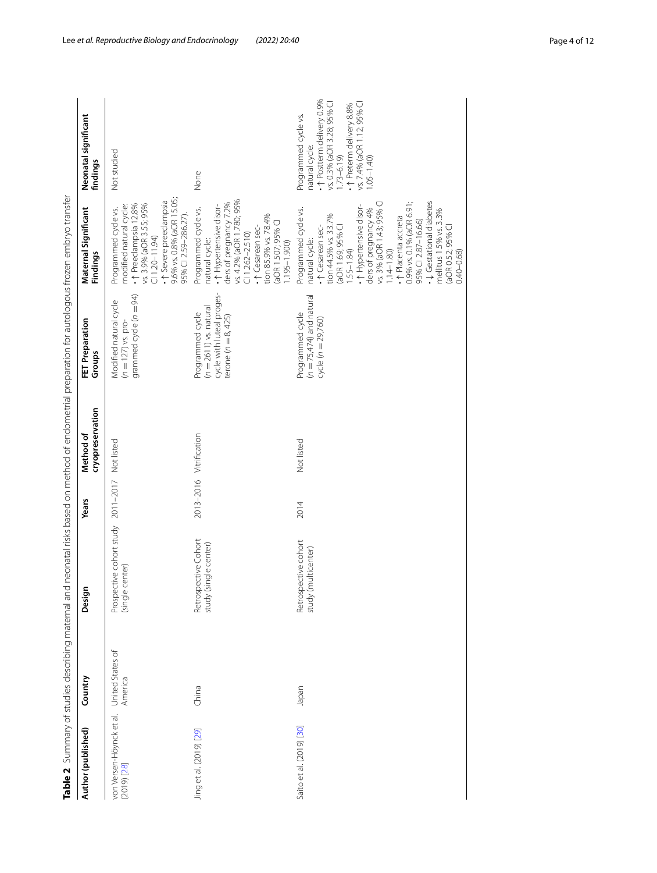| Author (published)                          | Country                     | Design                                                           | <b>Years</b>            | cryopreservation<br>Method of | <b>FET Preparation</b><br>Groups                                                                 | Maternal Significant<br>Findings                                                                                                                                                                                                                                                                                                                                                            | Neonatal significant<br>findings                                                                                                                                                                         |
|---------------------------------------------|-----------------------------|------------------------------------------------------------------|-------------------------|-------------------------------|--------------------------------------------------------------------------------------------------|---------------------------------------------------------------------------------------------------------------------------------------------------------------------------------------------------------------------------------------------------------------------------------------------------------------------------------------------------------------------------------------------|----------------------------------------------------------------------------------------------------------------------------------------------------------------------------------------------------------|
| von Versen-Höynck et al.<br>$(2019)$ $[28]$ | United States of<br>America | Prospective cohort study 2011-2017 Not listed<br>(single center) |                         |                               | grammed cycle $(n = 94)$<br>Modified natural cycle<br>$(n = 127)$ vs. pro-                       | 15.05;<br>+1 Severe preeclampsia<br>· ↑ Preeclampsia 12.8%<br>vs. 3.9% (aOR 3.55; 95%<br>modified natural cycle:<br>Programmed cycle vs.<br>95% CI 2.59-286.27)<br>9.6% vs. 0.8% (aOR<br>$(11.20 - 11.94)$                                                                                                                                                                                  | Not studied                                                                                                                                                                                              |
| Jing et al. (2019) [29]                     | China                       | Retrospective Cohort<br>study (single center)                    | 2013-2016 Vitrification |                               | cycle with luteal proges-<br>terone (n = 8, 425)<br>$(n = 2611)$ vs. natural<br>Programmed cycle | vs. 4.2% (aOR 1.780; 95%<br>ders of pregnancy 7.2%<br>• 1 Hypertensive disor-<br>Programmed cycle vs.<br>tion 85.9% vs. 78.4%<br>(aOR 1.507; 95% CI<br>+^ Cesarean sec-<br>$(11.262 - 2.510)$<br>natural cycle:<br>$1.195 - 1.900$                                                                                                                                                          | None                                                                                                                                                                                                     |
| Saito et al. (2019) [30]                    | Japan                       | Retrospective cohort<br>study (multicenter)                      | 2014                    | Not listed                    | $(n = 75,474)$ and natural<br>Programmed cycle<br>cycle ( $n = 29,760$ )                         | 0.9% vs. 0.1% (aOR 6.91;<br>• ↓ Gestational diabetes<br>vs. 3% (aOR 1.43; 95% C<br>• 1 Hypertensive disor-<br>Programmed cycle vs.<br>ders of pregnancy 4%<br>mellitus 1.5% vs. 3.3%<br>tion 44.5% vs. 33.7%<br>· ↑ Placenta accreta<br>95% CI 2.87-16.66)<br>(aOR 1.69; 95% CI<br>· ↑ Cesarean sec-<br>(aOR 0.52; 95% CI<br>0.40-0.68)<br>natural cycle:<br>$1.55 - 1.84$<br>$1.14 - 1.80$ | . 1 Postterm delivery 0.9%<br>vs. 0.3% (aOR 3.28; 95% CI<br>+ $\uparrow$ Preterm delivery 8.8%<br>vs. 7.4% (aOR 1.12; 95% Cl<br>Programmed cycle vs.<br>natural cycle:<br>$1.73 - 6.19$<br>$1.05 - 1.40$ |

<span id="page-3-0"></span>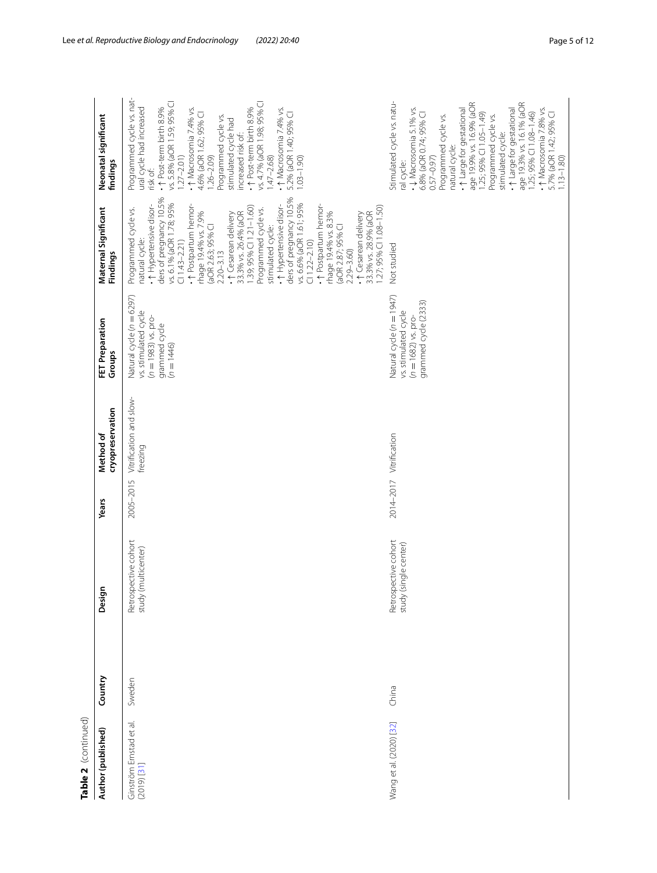| Table 2 (continued)                        |         |                                                  |           |                                     |                                                                                                            |                                                                                                                                                                                                                                                                                                                                                                                                                                                                                                                                                                                                                                    |                                                                                                                                                                                                                                                                                                                                                                                                                                                          |
|--------------------------------------------|---------|--------------------------------------------------|-----------|-------------------------------------|------------------------------------------------------------------------------------------------------------|------------------------------------------------------------------------------------------------------------------------------------------------------------------------------------------------------------------------------------------------------------------------------------------------------------------------------------------------------------------------------------------------------------------------------------------------------------------------------------------------------------------------------------------------------------------------------------------------------------------------------------|----------------------------------------------------------------------------------------------------------------------------------------------------------------------------------------------------------------------------------------------------------------------------------------------------------------------------------------------------------------------------------------------------------------------------------------------------------|
| Author (published)                         | Country | Design                                           | Years     | cryopreservation<br>Method of       | <b>FET Preparation</b><br>Groups                                                                           | Maternal Significant<br>Findings                                                                                                                                                                                                                                                                                                                                                                                                                                                                                                                                                                                                   | Neonatal significant<br>findings                                                                                                                                                                                                                                                                                                                                                                                                                         |
| Ginström Ernstad et al.<br>$(2019)$ $[31]$ | Sweden  | Retrospective cohort<br>(multicenter)<br>study ( | 2005-2015 | Vitrification and slow-<br>freezing | Natural cycle (n = 6297)<br>vs. stimulated cycle<br>$(n = 1983)$ vs. pro-<br>grammed cycle<br>$(n = 1446)$ | ders of pregnancy 10.5%<br>ders of pregnancy 10.5%<br>vs. 6.1% (aOR 1.78; 95%<br>• 1 Hypertensive disor-<br>vs. 6.6% (aOR 1.61; 95%<br>. ↑ Postpartum hemor-<br>. ↑ Postpartum hemor-<br>• 1 Hypertensive disor-<br>1.27; 95% CI 1.08-1.50)<br>1.39; 95% CI 1.21-1.60)<br>Programmed cycle vs.<br>Programmed cycle vs.<br>rhage 19.4% vs. 7.9%<br>rhage 19.4% vs. 8.3%<br>• ↑ Cesarean delivery<br>33.3% vs. 26.4% (aOR<br>+ + Cesarean delivery<br>33.3% vs. 28.9% (aOR<br>(aOR 2.63; 95% CI<br>(aOR 2.87; 95% CI<br>stimulated cycle:<br>natural cycle:<br>$(11.43 - 2.21)$<br>$(11.22 - 2.10)$<br>2.29 - 3.60)<br>$2.20 - 3.13$ | Programmed cycle vs. nat-<br>vs. 5.8% (aOR 1.59; 95% CI<br>vs. 4.7% (aOR 1.98; 95% CI<br>ural cycle had increased<br>+↑ Post-term birth 8.9%<br>· ↑ Post-term birth 8.9%<br>• ↑ Macrosomia 7.4% vs.<br>· ↑ Macrosomia 7.4% vs.<br>4.6% (aOR 1.62; 95% CI<br>5.2% (aOR 1.40; 95% CI<br>Programmed cycle vs.<br>stimulated cycle had<br>increased risk of:<br>$1.27 - 2.01$<br>$.47 - 2.68$<br>$1.26 - 2.09$<br>$1.03 - 1.90$<br>risk of:                  |
| Wang et al. (2020) [32]                    | China   | Retrospective cohort<br>(single center)<br>study |           | 2014-2017 Vitrification             | Natural cycle (n = 1947)<br>grammed cycle (2333)<br>vs. stimulated cycle<br>$(n = 1682)$ vs. pro-          | Not studied                                                                                                                                                                                                                                                                                                                                                                                                                                                                                                                                                                                                                        | Stimulated cycle vs. natu-<br>age 19.3% vs. 16.1% (aOR<br>age 19.9% vs. 16.9% (aOR<br>$\cdot$ J Macrosomia 5.1% vs.<br>+ 1 Large for gestational<br>+1 Large for gestational<br>• ↑ Macrosomia 7.8% vs.<br>1.25; 95% CI 1.08-1.46)<br>6.8% (aOR 0.74; 95% CI<br>1.25; 95% CI 1.05-1.49)<br>5.7% (aOR 1.42; 95% CI<br>Programmed cycle vs.<br>Programmed cycle vs.<br>stimulated cycle:<br>natural cycle:<br>$1.13 - 1.80$<br>$0.57 - 0.97$<br>ral cycle: |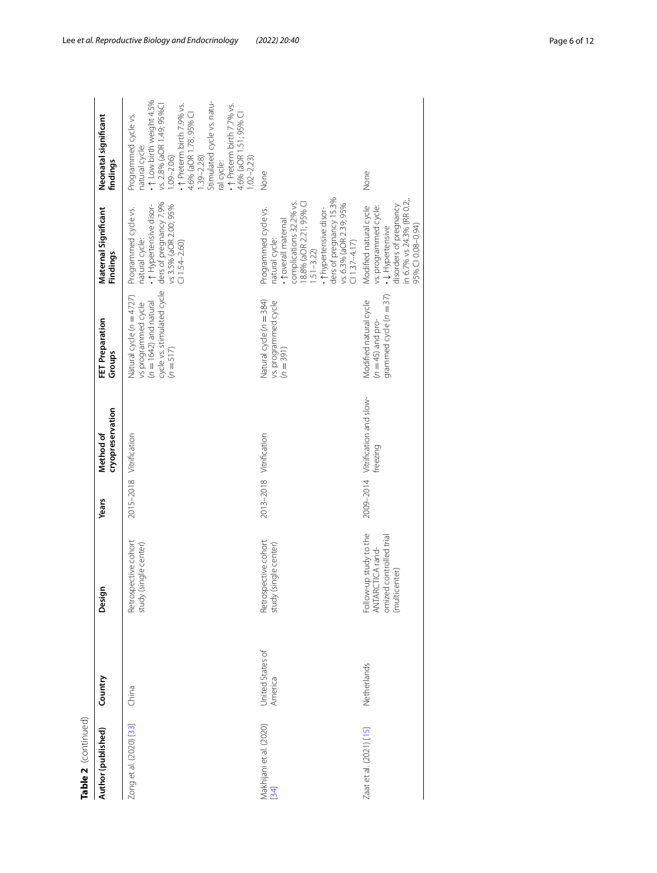| Table 2 (continued)               |                             |                                                                                        |                         |                                               |                                                                                                                         |                                                                                                                                                                                                                                                 |                                                                                                                                                                                                                                                                                                                           |
|-----------------------------------|-----------------------------|----------------------------------------------------------------------------------------|-------------------------|-----------------------------------------------|-------------------------------------------------------------------------------------------------------------------------|-------------------------------------------------------------------------------------------------------------------------------------------------------------------------------------------------------------------------------------------------|---------------------------------------------------------------------------------------------------------------------------------------------------------------------------------------------------------------------------------------------------------------------------------------------------------------------------|
| Author (published)                | Country                     | Design                                                                                 | Years                   | cryopreservation<br>Method of                 | <b>FET Preparation</b><br>Groups                                                                                        | Maternal Significant<br>Findings                                                                                                                                                                                                                | Neonatal significant<br>findings                                                                                                                                                                                                                                                                                          |
| Zong et al. (2020) [33]           | China                       | Retrospective cohort<br>study (single center)                                          | 2015-2018 Vitrification |                                               | cycle vs. stimulated cycle<br>Natural cycle (n =4727)<br>$(n = 1642)$ and natural<br>vs programmed cycle<br>$(n = 517)$ | • 1 Hypertensive disor-<br>ders of pregnancy 7.9%<br>vs 3.5% (aOR 2.00; 95%<br>Programmed cycle vs.<br>natural cycle:<br>$C11.54 - 2.60$                                                                                                        | $\cdot \uparrow$ Low birth weight 4.5%<br>Stimulated cycle vs. natu-<br>vs. 2.8% (aOR 1.49; 95%CI<br>• ↑ Preterm birth 7.9% vs.<br>4.6% (aOR 1.78; 95% Cl<br>1.39–2.28)<br>- 1 Preterm birth 7.7% vs.<br>4.6% (aOR 1.51; 95% CI<br>Programmed cycle vs.<br>natural cycle:<br>$1.09 - 2.06$<br>$1.02 - 2.23$<br>ral cycle: |
| Makhijani et al. (2020)<br>$[34]$ | United States of<br>America | Retrospective cohort<br>study (single center)                                          | 2013-2018 Vitrification |                                               | Natural cycle (n = 384)<br>vs. programmed cycle<br>(n = 391)                                                            | ders of pregnancy 15.3%<br>complications 32.2% vs.<br>18.8% (aOR 2.21; 95% CI<br>vs. 6.3% (aOR 2.39; 95%<br>Programmed cycle vs.<br>• thypertensive disor-<br>. <i>toverall</i> maternal<br>natural cycle:<br>$(11.37 - 4.17)$<br>$1.51 - 3.22$ | None                                                                                                                                                                                                                                                                                                                      |
| Zaat et al. (2021) [15]           | Netherlands                 | Follow-up study to the<br>omized controlled trial<br>ANTARCTICA rand-<br>(multicenter) |                         | 2009-2014 Vitrification and slow-<br>freezing | grammed cycle $(n = 37)$<br>Modified natural cycle<br>$(n = 45)$ and pro-                                               | in 6.7% vs 24.3% (RR 0.2;<br>disorders of pregnancy<br>vs. programmed cycle:<br>Modified natural cycle<br>95% CI 0.08-0.94)<br>• ↓ Hypertensive                                                                                                 | None                                                                                                                                                                                                                                                                                                                      |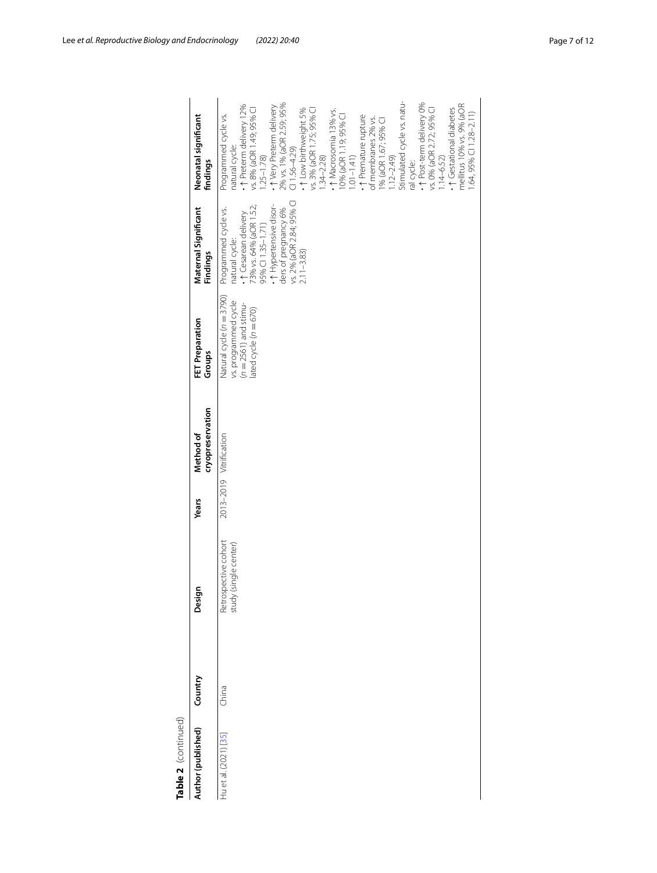| Table 2 (continued)   |         |                                               |                         |                               |                                                                                                        |                                                                                                                                                                                                               |                                                                                                                                                                                                                                                                                                                                                                                                                                                                                                                                                                                                                                            |
|-----------------------|---------|-----------------------------------------------|-------------------------|-------------------------------|--------------------------------------------------------------------------------------------------------|---------------------------------------------------------------------------------------------------------------------------------------------------------------------------------------------------------------|--------------------------------------------------------------------------------------------------------------------------------------------------------------------------------------------------------------------------------------------------------------------------------------------------------------------------------------------------------------------------------------------------------------------------------------------------------------------------------------------------------------------------------------------------------------------------------------------------------------------------------------------|
| Author (published)    | Country | Design                                        | <b>Years</b>            | cryopreservation<br>Method of | FET Preparation<br>Groups                                                                              | Maternal Significant<br>Findings                                                                                                                                                                              | Neonatal significant<br>findings                                                                                                                                                                                                                                                                                                                                                                                                                                                                                                                                                                                                           |
| Hu et al. (2021) [35] | China   | Retrospective cohort<br>study (single center) | 2013-2019 Vitrification |                               | Natural cycle (n = 3790)<br>vs. programmed cycle<br>(n = 2561) and stimu-<br>lated cycle ( $n = 670$ ) | vs. 2% (aOR 2.84; 95% C<br>• 1 Hypertensive disor-<br>73% vs. 64% (aOR 1.52;<br>Programmed cycle vs.<br>ders of pregnancy 6%<br>natural cycle:<br>• ↑ Cesarean delivery<br>95% CI 1.35-1.71)<br>$2.11 - 3.83$ | Stimulated cycle vs. natu-<br>• 1 Post-term delivery 0%<br>• ↑ Very Preterm delivery<br>2% vs. 1% (aOR 2.59; 95%<br>mellitus 10% vs. 9% (aOR<br>• ↑ Preterm delivery 12%<br>vs. 8% (aOR 1.49; 95% Cl<br>1.25–1.78)<br>vs. 0% (aOR 2.72; 95% CI<br>• ↑ Gestational diabetes<br>• ↑ Low birthweight 5%<br>vs. 3% (aOR 1.75; 95% CI<br>- ↑ Macrosomia 13% vs.<br>$1.64$ , 95% Cl $1.28 - 2.11$ )<br>Programmed cycle vs.<br>10% (aOR 1.19; 95% Cl<br>1.01–1.41)<br>. ↑ Premature rupture<br>of membranes 2% vs.<br>1% (aOR 1.67; 95% CI<br>natural cycle:<br>$(1.56 - 4.29)$<br>$1.34 - 2.28$<br>$1.14 - 6.52$<br>$1.12 - 2.49$<br>ral cycle: |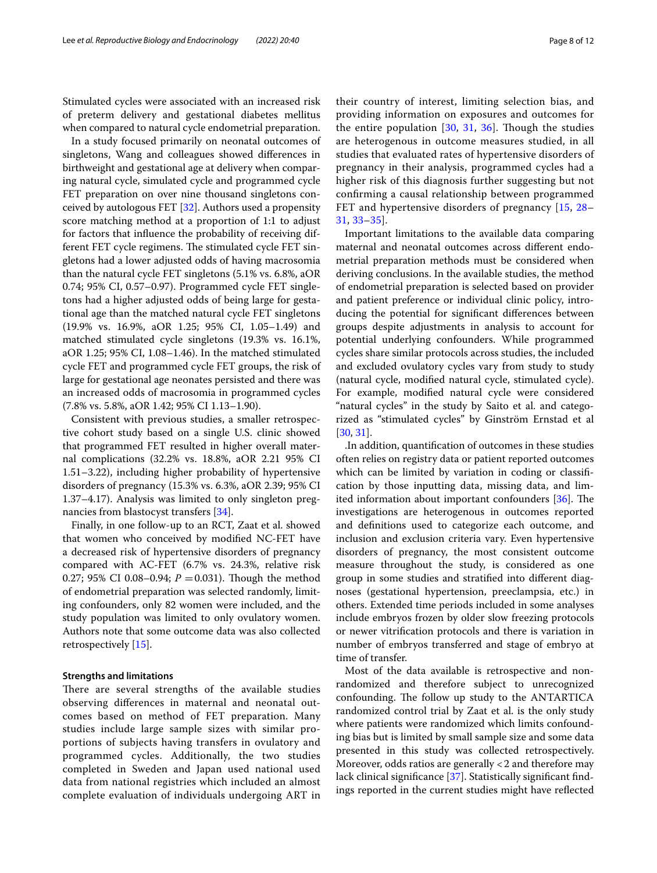Stimulated cycles were associated with an increased risk of preterm delivery and gestational diabetes mellitus when compared to natural cycle endometrial preparation.

In a study focused primarily on neonatal outcomes of singletons, Wang and colleagues showed diferences in birthweight and gestational age at delivery when comparing natural cycle, simulated cycle and programmed cycle FET preparation on over nine thousand singletons conceived by autologous FET [\[32\]](#page-11-7). Authors used a propensity score matching method at a proportion of 1:1 to adjust for factors that infuence the probability of receiving different FET cycle regimens. The stimulated cycle FET singletons had a lower adjusted odds of having macrosomia than the natural cycle FET singletons (5.1% vs. 6.8%, aOR 0.74; 95% CI, 0.57–0.97). Programmed cycle FET singletons had a higher adjusted odds of being large for gestational age than the matched natural cycle FET singletons (19.9% vs. 16.9%, aOR 1.25; 95% CI, 1.05–1.49) and matched stimulated cycle singletons (19.3% vs. 16.1%, aOR 1.25; 95% CI, 1.08–1.46). In the matched stimulated cycle FET and programmed cycle FET groups, the risk of large for gestational age neonates persisted and there was an increased odds of macrosomia in programmed cycles (7.8% vs. 5.8%, aOR 1.42; 95% CI 1.13–1.90).

Consistent with previous studies, a smaller retrospective cohort study based on a single U.S. clinic showed that programmed FET resulted in higher overall maternal complications (32.2% vs. 18.8%, aOR 2.21 95% CI 1.51–3.22), including higher probability of hypertensive disorders of pregnancy (15.3% vs. 6.3%, aOR 2.39; 95% CI 1.37–4.17). Analysis was limited to only singleton pregnancies from blastocyst transfers [[34](#page-11-8)].

Finally, in one follow-up to an RCT, Zaat et al. showed that women who conceived by modifed NC-FET have a decreased risk of hypertensive disorders of pregnancy compared with AC-FET (6.7% vs. 24.3%, relative risk 0.27; 95% CI 0.08–0.94;  $P = 0.031$ ). Though the method of endometrial preparation was selected randomly, limiting confounders, only 82 women were included, and the study population was limited to only ovulatory women. Authors note that some outcome data was also collected retrospectively [[15\]](#page-10-13).

#### **Strengths and limitations**

There are several strengths of the available studies observing diferences in maternal and neonatal outcomes based on method of FET preparation. Many studies include large sample sizes with similar proportions of subjects having transfers in ovulatory and programmed cycles. Additionally, the two studies completed in Sweden and Japan used national used data from national registries which included an almost complete evaluation of individuals undergoing ART in their country of interest, limiting selection bias, and providing information on exposures and outcomes for the entire population  $[30, 31, 36]$  $[30, 31, 36]$  $[30, 31, 36]$  $[30, 31, 36]$  $[30, 31, 36]$  $[30, 31, 36]$  $[30, 31, 36]$ . Though the studies are heterogenous in outcome measures studied, in all studies that evaluated rates of hypertensive disorders of pregnancy in their analysis, programmed cycles had a higher risk of this diagnosis further suggesting but not confrming a causal relationship between programmed FET and hypertensive disorders of pregnancy [[15,](#page-10-13) [28–](#page-11-1) [31,](#page-11-3) [33–](#page-11-4)[35\]](#page-11-5).

Important limitations to the available data comparing maternal and neonatal outcomes across diferent endometrial preparation methods must be considered when deriving conclusions. In the available studies, the method of endometrial preparation is selected based on provider and patient preference or individual clinic policy, introducing the potential for signifcant diferences between groups despite adjustments in analysis to account for potential underlying confounders. While programmed cycles share similar protocols across studies, the included and excluded ovulatory cycles vary from study to study (natural cycle, modifed natural cycle, stimulated cycle). For example, modifed natural cycle were considered "natural cycles" in the study by Saito et al. and categorized as "stimulated cycles" by Ginström Ernstad et al [[30,](#page-11-2) [31](#page-11-3)].

.In addition, quantifcation of outcomes in these studies often relies on registry data or patient reported outcomes which can be limited by variation in coding or classification by those inputting data, missing data, and lim-ited information about important confounders [[36\]](#page-11-9). The investigations are heterogenous in outcomes reported and defnitions used to categorize each outcome, and inclusion and exclusion criteria vary. Even hypertensive disorders of pregnancy, the most consistent outcome measure throughout the study, is considered as one group in some studies and stratifed into diferent diagnoses (gestational hypertension, preeclampsia, etc.) in others. Extended time periods included in some analyses include embryos frozen by older slow freezing protocols or newer vitrifcation protocols and there is variation in number of embryos transferred and stage of embryo at time of transfer.

Most of the data available is retrospective and nonrandomized and therefore subject to unrecognized confounding. The follow up study to the ANTARTICA randomized control trial by Zaat et al. is the only study where patients were randomized which limits confounding bias but is limited by small sample size and some data presented in this study was collected retrospectively. Moreover, odds ratios are generally <2 and therefore may lack clinical significance [[37\]](#page-11-10). Statistically significant findings reported in the current studies might have refected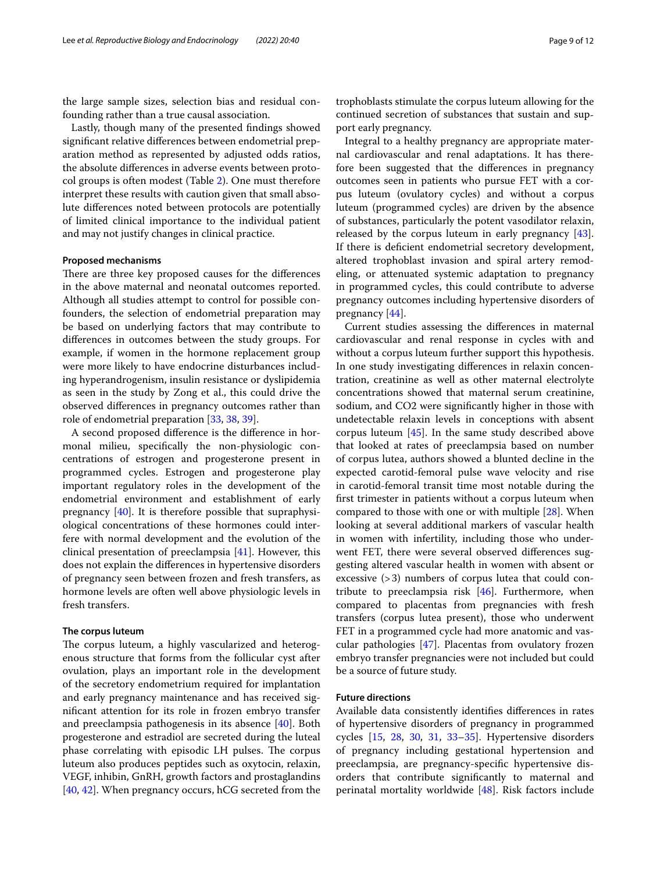the large sample sizes, selection bias and residual confounding rather than a true causal association.

Lastly, though many of the presented fndings showed signifcant relative diferences between endometrial preparation method as represented by adjusted odds ratios, the absolute diferences in adverse events between protocol groups is often modest (Table [2\)](#page-3-0). One must therefore interpret these results with caution given that small absolute diferences noted between protocols are potentially of limited clinical importance to the individual patient and may not justify changes in clinical practice.

#### **Proposed mechanisms**

There are three key proposed causes for the differences in the above maternal and neonatal outcomes reported. Although all studies attempt to control for possible confounders, the selection of endometrial preparation may be based on underlying factors that may contribute to diferences in outcomes between the study groups. For example, if women in the hormone replacement group were more likely to have endocrine disturbances including hyperandrogenism, insulin resistance or dyslipidemia as seen in the study by Zong et al., this could drive the observed diferences in pregnancy outcomes rather than role of endometrial preparation [[33,](#page-11-4) [38,](#page-11-11) [39](#page-11-12)].

A second proposed diference is the diference in hormonal milieu, specifcally the non-physiologic concentrations of estrogen and progesterone present in programmed cycles. Estrogen and progesterone play important regulatory roles in the development of the endometrial environment and establishment of early pregnancy [\[40](#page-11-13)]. It is therefore possible that supraphysiological concentrations of these hormones could interfere with normal development and the evolution of the clinical presentation of preeclampsia [\[41](#page-11-14)]. However, this does not explain the diferences in hypertensive disorders of pregnancy seen between frozen and fresh transfers, as hormone levels are often well above physiologic levels in fresh transfers.

### **The corpus luteum**

The corpus luteum, a highly vascularized and heterogenous structure that forms from the follicular cyst after ovulation, plays an important role in the development of the secretory endometrium required for implantation and early pregnancy maintenance and has received signifcant attention for its role in frozen embryo transfer and preeclampsia pathogenesis in its absence [\[40\]](#page-11-13). Both progesterone and estradiol are secreted during the luteal phase correlating with episodic LH pulses. The corpus luteum also produces peptides such as oxytocin, relaxin, VEGF, inhibin, GnRH, growth factors and prostaglandins [[40,](#page-11-13) [42](#page-11-15)]. When pregnancy occurs, hCG secreted from the trophoblasts stimulate the corpus luteum allowing for the continued secretion of substances that sustain and support early pregnancy.

Integral to a healthy pregnancy are appropriate maternal cardiovascular and renal adaptations. It has therefore been suggested that the diferences in pregnancy outcomes seen in patients who pursue FET with a corpus luteum (ovulatory cycles) and without a corpus luteum (programmed cycles) are driven by the absence of substances, particularly the potent vasodilator relaxin, released by the corpus luteum in early pregnancy [\[43](#page-11-16)]. If there is defcient endometrial secretory development, altered trophoblast invasion and spiral artery remodeling, or attenuated systemic adaptation to pregnancy in programmed cycles, this could contribute to adverse pregnancy outcomes including hypertensive disorders of pregnancy [\[44\]](#page-11-17).

Current studies assessing the diferences in maternal cardiovascular and renal response in cycles with and without a corpus luteum further support this hypothesis. In one study investigating diferences in relaxin concentration, creatinine as well as other maternal electrolyte concentrations showed that maternal serum creatinine, sodium, and CO2 were signifcantly higher in those with undetectable relaxin levels in conceptions with absent corpus luteum [\[45](#page-11-18)]. In the same study described above that looked at rates of preeclampsia based on number of corpus lutea, authors showed a blunted decline in the expected carotid-femoral pulse wave velocity and rise in carotid-femoral transit time most notable during the frst trimester in patients without a corpus luteum when compared to those with one or with multiple [\[28](#page-11-1)]. When looking at several additional markers of vascular health in women with infertility, including those who underwent FET, there were several observed diferences suggesting altered vascular health in women with absent or excessive  $(>3)$  numbers of corpus lutea that could contribute to preeclampsia risk [\[46](#page-11-19)]. Furthermore, when compared to placentas from pregnancies with fresh transfers (corpus lutea present), those who underwent FET in a programmed cycle had more anatomic and vascular pathologies [[47](#page-11-20)]. Placentas from ovulatory frozen embryo transfer pregnancies were not included but could be a source of future study.

# **Future directions**

Available data consistently identifes diferences in rates of hypertensive disorders of pregnancy in programmed cycles [\[15](#page-10-13), [28](#page-11-1), [30](#page-11-2), [31](#page-11-3), [33](#page-11-4)[–35](#page-11-5)]. Hypertensive disorders of pregnancy including gestational hypertension and preeclampsia, are pregnancy-specifc hypertensive disorders that contribute signifcantly to maternal and perinatal mortality worldwide [[48](#page-11-21)]. Risk factors include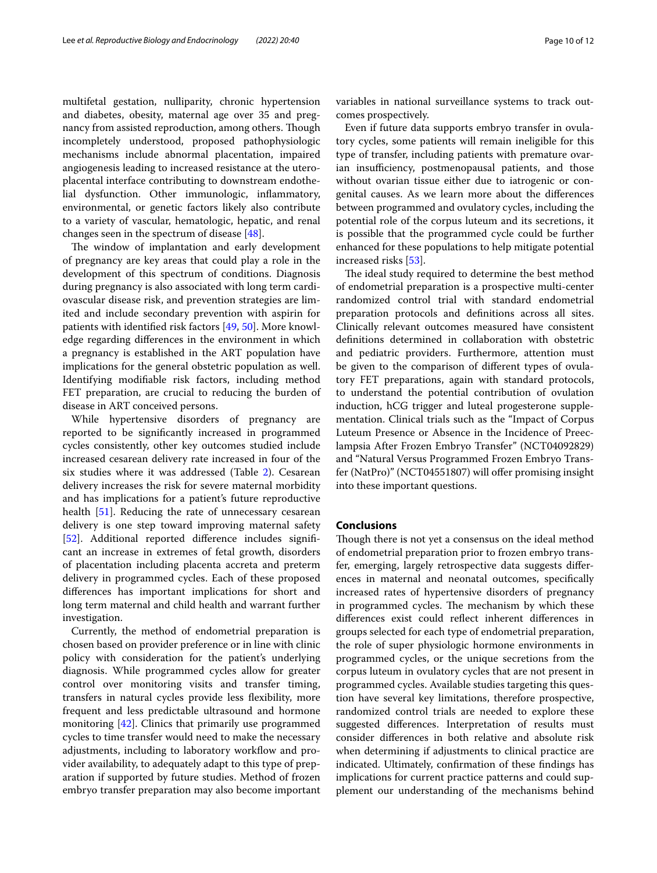multifetal gestation, nulliparity, chronic hypertension and diabetes, obesity, maternal age over 35 and pregnancy from assisted reproduction, among others. Though incompletely understood, proposed pathophysiologic mechanisms include abnormal placentation, impaired angiogenesis leading to increased resistance at the uteroplacental interface contributing to downstream endothelial dysfunction. Other immunologic, infammatory, environmental, or genetic factors likely also contribute to a variety of vascular, hematologic, hepatic, and renal changes seen in the spectrum of disease [[48](#page-11-21)].

The window of implantation and early development of pregnancy are key areas that could play a role in the development of this spectrum of conditions. Diagnosis during pregnancy is also associated with long term cardiovascular disease risk, and prevention strategies are limited and include secondary prevention with aspirin for patients with identifed risk factors [[49,](#page-11-22) [50](#page-11-23)]. More knowledge regarding diferences in the environment in which a pregnancy is established in the ART population have implications for the general obstetric population as well. Identifying modifable risk factors, including method FET preparation, are crucial to reducing the burden of disease in ART conceived persons.

While hypertensive disorders of pregnancy are reported to be signifcantly increased in programmed cycles consistently, other key outcomes studied include increased cesarean delivery rate increased in four of the six studies where it was addressed (Table [2](#page-3-0)). Cesarean delivery increases the risk for severe maternal morbidity and has implications for a patient's future reproductive health [[51](#page-11-24)]. Reducing the rate of unnecessary cesarean delivery is one step toward improving maternal safety [[52\]](#page-11-25). Additional reported difference includes significant an increase in extremes of fetal growth, disorders of placentation including placenta accreta and preterm delivery in programmed cycles. Each of these proposed diferences has important implications for short and long term maternal and child health and warrant further investigation.

Currently, the method of endometrial preparation is chosen based on provider preference or in line with clinic policy with consideration for the patient's underlying diagnosis. While programmed cycles allow for greater control over monitoring visits and transfer timing, transfers in natural cycles provide less fexibility, more frequent and less predictable ultrasound and hormone monitoring [[42](#page-11-15)]. Clinics that primarily use programmed cycles to time transfer would need to make the necessary adjustments, including to laboratory workflow and provider availability, to adequately adapt to this type of preparation if supported by future studies. Method of frozen embryo transfer preparation may also become important variables in national surveillance systems to track outcomes prospectively.

Even if future data supports embryo transfer in ovulatory cycles, some patients will remain ineligible for this type of transfer, including patients with premature ovarian insufficiency, postmenopausal patients, and those without ovarian tissue either due to iatrogenic or congenital causes. As we learn more about the diferences between programmed and ovulatory cycles, including the potential role of the corpus luteum and its secretions, it is possible that the programmed cycle could be further enhanced for these populations to help mitigate potential increased risks [[53\]](#page-11-26).

The ideal study required to determine the best method of endometrial preparation is a prospective multi-center randomized control trial with standard endometrial preparation protocols and defnitions across all sites. Clinically relevant outcomes measured have consistent defnitions determined in collaboration with obstetric and pediatric providers. Furthermore, attention must be given to the comparison of diferent types of ovulatory FET preparations, again with standard protocols, to understand the potential contribution of ovulation induction, hCG trigger and luteal progesterone supplementation. Clinical trials such as the "Impact of Corpus Luteum Presence or Absence in the Incidence of Preeclampsia After Frozen Embryo Transfer" (NCT04092829) and "Natural Versus Programmed Frozen Embryo Transfer (NatPro)" (NCT04551807) will ofer promising insight into these important questions.

#### **Conclusions**

Though there is not yet a consensus on the ideal method of endometrial preparation prior to frozen embryo transfer, emerging, largely retrospective data suggests diferences in maternal and neonatal outcomes, specifcally increased rates of hypertensive disorders of pregnancy in programmed cycles. The mechanism by which these diferences exist could refect inherent diferences in groups selected for each type of endometrial preparation, the role of super physiologic hormone environments in programmed cycles, or the unique secretions from the corpus luteum in ovulatory cycles that are not present in programmed cycles. Available studies targeting this question have several key limitations, therefore prospective, randomized control trials are needed to explore these suggested diferences. Interpretation of results must consider diferences in both relative and absolute risk when determining if adjustments to clinical practice are indicated. Ultimately, confrmation of these fndings has implications for current practice patterns and could supplement our understanding of the mechanisms behind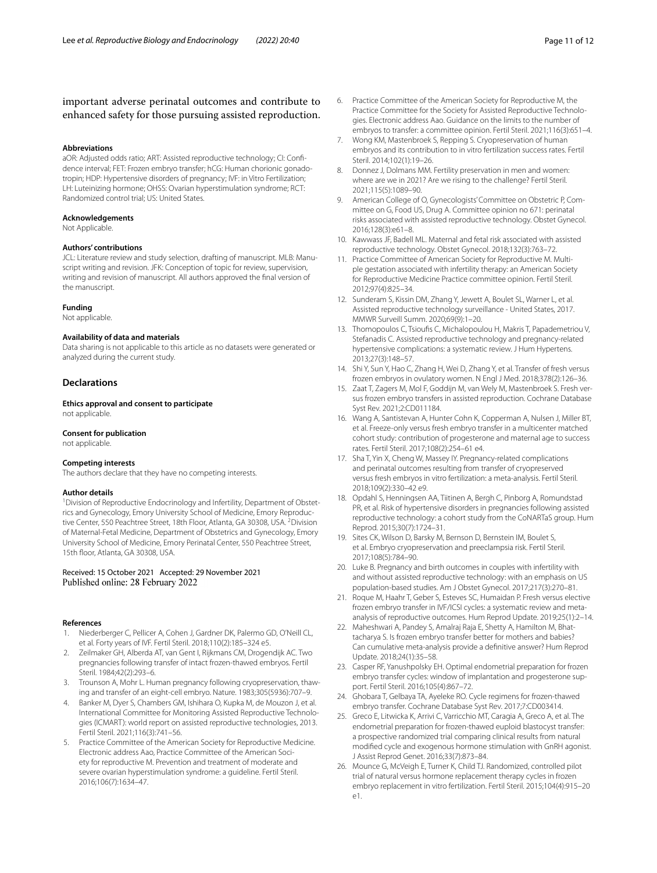important adverse perinatal outcomes and contribute to enhanced safety for those pursuing assisted reproduction.

#### **Abbreviations**

aOR: Adjusted odds ratio; ART: Assisted reproductive technology; CI: Confdence interval; FET: Frozen embryo transfer; hCG: Human chorionic gonadotropin; HDP: Hypertensive disorders of pregnancy; IVF: in Vitro Fertilization; LH: Luteinizing hormone; OHSS: Ovarian hyperstimulation syndrome; RCT: Randomized control trial; US: United States.

#### **Acknowledgements**

Not Applicable.

#### **Authors' contributions**

JCL: Literature review and study selection, drafting of manuscript. MLB: Manuscript writing and revision. JFK: Conception of topic for review, supervision, writing and revision of manuscript. All authors approved the fnal version of the manuscript.

#### **Funding**

Not applicable.

#### **Availability of data and materials**

Data sharing is not applicable to this article as no datasets were generated or analyzed during the current study.

# **Declarations**

**Ethics approval and consent to participate** not applicable.

#### **Consent for publication**

not applicable.

#### **Competing interests**

The authors declare that they have no competing interests.

#### **Author details**

<sup>1</sup> Division of Reproductive Endocrinology and Infertility, Department of Obstetrics and Gynecology, Emory University School of Medicine, Emory Reproductive Center, 550 Peachtree Street, 18th Floor, Atlanta, GA 30308, USA. <sup>2</sup>Division of Maternal-Fetal Medicine, Department of Obstetrics and Gynecology, Emory University School of Medicine, Emory Perinatal Center, 550 Peachtree Street, 15th floor, Atlanta, GA 30308, USA.

Received: 15 October 2021 Accepted: 29 November 2021

#### **References**

- <span id="page-10-0"></span>1. Niederberger C, Pellicer A, Cohen J, Gardner DK, Palermo GD, O'Neill CL, et al. Forty years of IVF. Fertil Steril. 2018;110(2):185–324 e5.
- 2. Zeilmaker GH, Alberda AT, van Gent I, Rijkmans CM, Drogendijk AC. Two pregnancies following transfer of intact frozen-thawed embryos. Fertil Steril. 1984;42(2):293–6.
- <span id="page-10-1"></span>3. Trounson A, Mohr L. Human pregnancy following cryopreservation, thawing and transfer of an eight-cell embryo. Nature. 1983;305(5936):707–9.
- <span id="page-10-2"></span>4. Banker M, Dyer S, Chambers GM, Ishihara O, Kupka M, de Mouzon J, et al. International Committee for Monitoring Assisted Reproductive Technologies (ICMART): world report on assisted reproductive technologies, 2013. Fertil Steril. 2021;116(3):741–56.
- 5. Practice Committee of the American Society for Reproductive Medicine. Electronic address Aao, Practice Committee of the American Society for reproductive M. Prevention and treatment of moderate and severe ovarian hyperstimulation syndrome: a guideline. Fertil Steril. 2016;106(7):1634–47.
- <span id="page-10-6"></span>6. Practice Committee of the American Society for Reproductive M, the Practice Committee for the Society for Assisted Reproductive Technologies. Electronic address Aao. Guidance on the limits to the number of embryos to transfer: a committee opinion. Fertil Steril. 2021;116(3):651–4.
- 7. Wong KM, Mastenbroek S, Repping S. Cryopreservation of human embryos and its contribution to in vitro fertilization success rates. Fertil Steril. 2014;102(1):19–26.
- <span id="page-10-3"></span>8. Donnez J, Dolmans MM. Fertility preservation in men and women: where are we in 2021? Are we rising to the challenge? Fertil Steril. 2021;115(5):1089–90.
- <span id="page-10-4"></span>9. American College of O, Gynecologists' Committee on Obstetric P, Committee on G, Food US, Drug A. Committee opinion no 671: perinatal risks associated with assisted reproductive technology. Obstet Gynecol. 2016;128(3):e61–8.
- <span id="page-10-5"></span>10. Kawwass JF, Badell ML. Maternal and fetal risk associated with assisted reproductive technology. Obstet Gynecol. 2018;132(3):763–72.
- <span id="page-10-7"></span>11. Practice Committee of American Society for Reproductive M. Multiple gestation associated with infertility therapy: an American Society for Reproductive Medicine Practice committee opinion. Fertil Steril. 2012;97(4):825–34.
- <span id="page-10-8"></span>12. Sunderam S, Kissin DM, Zhang Y, Jewett A, Boulet SL, Warner L, et al. Assisted reproductive technology surveillance - United States, 2017. MMWR Surveill Summ. 2020;69(9):1–20.
- <span id="page-10-9"></span>13. Thomopoulos C, Tsioufs C, Michalopoulou H, Makris T, Papademetriou V, Stefanadis C. Assisted reproductive technology and pregnancy-related hypertensive complications: a systematic review. J Hum Hypertens. 2013;27(3):148–57.
- <span id="page-10-10"></span>14. Shi Y, Sun Y, Hao C, Zhang H, Wei D, Zhang Y, et al. Transfer of fresh versus frozen embryos in ovulatory women. N Engl J Med. 2018;378(2):126–36.
- <span id="page-10-13"></span>15. Zaat T, Zagers M, Mol F, Goddijn M, van Wely M, Mastenbroek S. Fresh versus frozen embryo transfers in assisted reproduction. Cochrane Database Syst Rev. 2021;2:CD011184.
- <span id="page-10-11"></span>16. Wang A, Santistevan A, Hunter Cohn K, Copperman A, Nulsen J, Miller BT, et al. Freeze-only versus fresh embryo transfer in a multicenter matched cohort study: contribution of progesterone and maternal age to success rates. Fertil Steril. 2017;108(2):254–61 e4.
- <span id="page-10-12"></span>17. Sha T, Yin X, Cheng W, Massey IY. Pregnancy-related complications and perinatal outcomes resulting from transfer of cryopreserved versus fresh embryos in vitro fertilization: a meta-analysis. Fertil Steril. 2018;109(2):330–42 e9.
- 18. Opdahl S, Henningsen AA, Tiitinen A, Bergh C, Pinborg A, Romundstad PR, et al. Risk of hypertensive disorders in pregnancies following assisted reproductive technology: a cohort study from the CoNARTaS group. Hum Reprod. 2015;30(7):1724–31.
- 19. Sites CK, Wilson D, Barsky M, Bernson D, Bernstein IM, Boulet S, et al. Embryo cryopreservation and preeclampsia risk. Fertil Steril. 2017;108(5):784–90.
- 20. Luke B. Pregnancy and birth outcomes in couples with infertility with and without assisted reproductive technology: with an emphasis on US population-based studies. Am J Obstet Gynecol. 2017;217(3):270–81.
- 21. Roque M, Haahr T, Geber S, Esteves SC, Humaidan P. Fresh versus elective frozen embryo transfer in IVF/ICSI cycles: a systematic review and metaanalysis of reproductive outcomes. Hum Reprod Update. 2019;25(1):2–14.
- <span id="page-10-14"></span>22. Maheshwari A, Pandey S, Amalraj Raja E, Shetty A, Hamilton M, Bhattacharya S. Is frozen embryo transfer better for mothers and babies? Can cumulative meta-analysis provide a defnitive answer? Hum Reprod Update. 2018;24(1):35–58.
- <span id="page-10-15"></span>23. Casper RF, Yanushpolsky EH. Optimal endometrial preparation for frozen embryo transfer cycles: window of implantation and progesterone support. Fertil Steril. 2016;105(4):867–72.
- <span id="page-10-16"></span>24. Ghobara T, Gelbaya TA, Ayeleke RO. Cycle regimens for frozen-thawed embryo transfer. Cochrane Database Syst Rev. 2017;7:CD003414.
- <span id="page-10-17"></span>25. Greco E, Litwicka K, Arrivi C, Varricchio MT, Caragia A, Greco A, et al. The endometrial preparation for frozen-thawed euploid blastocyst transfer: a prospective randomized trial comparing clinical results from natural modifed cycle and exogenous hormone stimulation with GnRH agonist. J Assist Reprod Genet. 2016;33(7):873–84.
- <span id="page-10-18"></span>26. Mounce G, McVeigh E, Turner K, Child TJ. Randomized, controlled pilot trial of natural versus hormone replacement therapy cycles in frozen embryo replacement in vitro fertilization. Fertil Steril. 2015;104(4):915–20 e1.